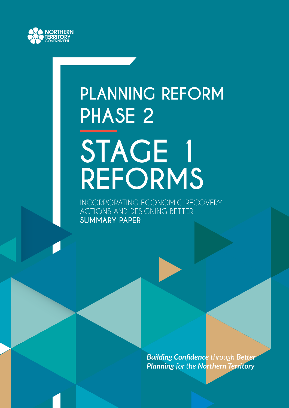

# **PLANNING REFORM PHASE 2 STAGE 1 REFORMS**

INCORPORATING ECONOMIC RECOVERY ACTIONS AND DESIGNING BETTER **SUMMARY PAPER**

> *Building Confidence through Better Planning for the Northern Territory*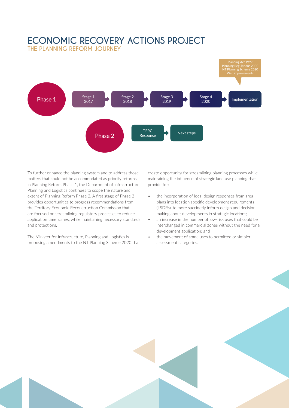### **ECONOMIC RECOVERY ACTIONS PROJECT THE PLANNING REFORM JOURNEY**



To further enhance the planning system and to address those matters that could not be accommodated as priority reforms in Planning Reform Phase 1, the Department of Infrastructure, Planning and Logistics continues to scope the nature and extent of Planning Reform Phase 2. A first stage of Phase 2 provides opportunities to progress recommendations from the Territory Economic Reconstruction Commission that are focused on streamlining regulatory processes to reduce application timeframes, while maintaining necessary standards and protections.

The Minister for Infrastructure, Planning and Logistics is proposing amendments to the NT Planning Scheme 2020 that create opportunity for streamlining planning processes while maintaining the influence of strategic land use planning that provide for:

- the incorporation of local design responses from area plans into location specific development requirements (LSDRs), to more succinctly inform design and decision making about developments in strategic locations;
- an increase in the number of low-risk uses that could be interchanged in commercial zones without the need for a development application; and
- the movement of some uses to permitted or simpler assessment categories.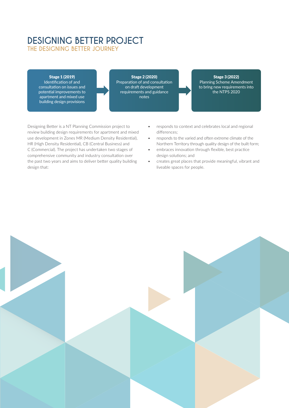# **DESIGNING BETTER PROJECT**

**THE DESIGNING BETTER JOURNEY** 

### Stage 1 (2019)

Identification of and consultation on issues and potential improvements to apartment and mixed use building design provisions

Stage 2 (2020) Preparation of and consultation on draft development requirements and guidance notes

### Stage 3 (2022) Planning Scheme Amendment

to bring new requirements into the NTPS 2020

Designing Better is a NT Planning Commission project to review building design requirements for apartment and mixed use development in Zones MR (Medium Density Residential), HR (High Density Residential), CB (Central Business) and C (Commercial). The project has undertaken two stages of comprehensive community and industry consultation over the past two years and aims to deliver better quality building design that:

- responds to context and celebrates local and regional differences;
- responds to the varied and often extreme climate of the Northern Territory through quality design of the built form;
- embraces innovation through flexible, best practice design solutions; and
- creates great places that provide meaningful, vibrant and liveable spaces for people.

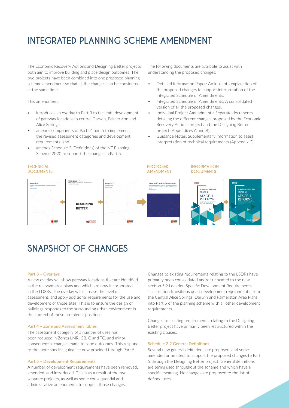## **INTEGRATED PLANNING SCHEME AMENDMENT**

The Economic Recovery Actions and Designing Better projects both aim to improve building and place design outcomes. The two projects have been combined into one proposed planning scheme amendment so that all the changes can be considered at the same time.

This amendment:

- introduces an overlay to Part 3 to facilitate development of gateway locations in central Darwin, Palmerston and Alice Springs;
- amends components of Parts 4 and 5 to implement the revised assessment categories and development requirements; and
- amends Schedule 2 (Definitions) of the NT Planning Scheme 2020 to support the changes in Part 5.

The following documents are available to assist with understanding the proposed changes:

- Detailed Information Paper: An in-depth explanation of the proposed changes to support interpretation of the Integrated Schedule of Amendments.
- Integrated Schedule of Amendments: A consolidated version of all the proposed changes.
- Individual Project Amendments: Separate documents detailing the different changes proposed by the Economic Recovery Actions project and the Designing Better project (Appendices A and B).
- Guidance Notes: Supplementary information to assist interpretation of technical requirements (Appendix C).



### **SNAPSHOT OF CHANGES**

#### **Part 3 – Overlays**

A new overlay will show gateway locations that are identified in the relevant area plans and which are now incorporated in the LDSRs. The overlay will increase the level of assessment, and apply additional requirements for the use and development of those sites. This is to ensure the design of buildings responds to the surrounding urban environment in the context of these prominent positions.

### **Part 4 – Zone and Assessment Tables**

The assessment category of a number of uses has been reduced in Zones LMR, CB, C and TC, and minor consequential changes made to zone outcomes. This responds to the more specific guidance now provided through Part 5.

#### **Part 5 – Development Requirements**

A number of development requirements have been removed, amended, and introduced. This is as a result of the two separate projects, as well as some consequential and administrative amendments to support those changes.

Changes to existing requirements relating to the LSDRs have primarily been consolidated and/or relocated to the new section 5.9 Location Specific Development Requirements. This section transitions quasi development requirements from the Central Alice Springs, Darwin and Palmerston Area Plans into Part 5 of the planning scheme with all other development requirements.

Changes to existing requirements relating to the Designing Better project have primarily been restructured within the existing clauses.

#### **Schedule 2.2 General Definitions**

Several new general definitions are proposed, and some amended or omitted, to support the proposed changes to Part 5 through the Designing Better project. General definitions are terms used throughout the scheme and which have a specific meaning. No changes are proposed to the list of defined uses.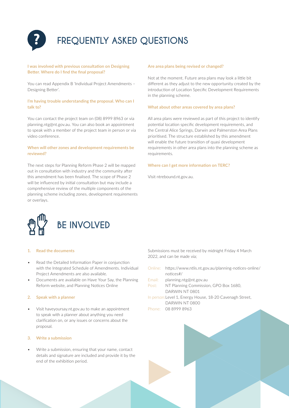

## **FREQUENTLY ASKED QUESTIONS**

### **I was involved with previous consultation on Designing Better. Where do I find the final proposal?**

You can read Appendix B 'Individual Project Amendments – Designing Better'.

### **I'm having trouble understanding the proposal. Who can I talk to?**

You can contact the project team on (08) 8999 8963 or via planning.ntg@nt.gov.au. You can also book an appointment to speak with a member of the project team in person or via video conference.

### **When will other zones and development requirements be reviewed?**

The next steps for Planning Reform Phase 2 will be mapped out in consultation with industry and the community after this amendment has been finalised. The scope of Phase 2 will be influenced by initial consultation but may include a comprehensive review of the multiple components of the planning scheme including zones, development requirements or overlays.

### **Are area plans being revised or changed?**

Not at the moment. Future area plans may look a little bit different as they adjust to the new opportunity created by the introduction of Location Specific Development Requirements in the planning scheme.

### **What about other areas covered by area plans?**

All area plans were reviewed as part of this project to identify potential location specific development requirements, and the Central Alice Springs, Darwin and Palmerston Area Plans prioritised. The structure established by this amendment will enable the future transition of quasi development requirements in other area plans into the planning scheme as requirements.

### **Where can I get more information on TERC?**

Visit ntrebound.nt.gov.au.



### **1. Read the documents**

- Read the Detailed Information Paper in conjunction with the Integrated Schedule of Amendments. Individual Project Amendments are also available.
- Documents are available on Have Your Say, the Planning Reform website, and Planning Notices Online

#### **2. Speak with a planner**

• Visit haveyoursay.nt.gov.au to make an appointment to speak with a planner about anything you need clarification on, or any issues or concerns about the proposal.

### **3. Write a submission**

• Write a submission, ensuring that your name, contact details and signature are included and provide it by the end of the exhibition period.

Submissions must be received by midnight Friday 4 March 2022, and can be made via;

| Online:                                                  | https://www.ntlis.nt.gov.au/planning-notices-online/ |
|----------------------------------------------------------|------------------------------------------------------|
|                                                          | $notices$ #/                                         |
| Fmail:                                                   | planning.ntg@nt.gov.au                               |
| Post:                                                    | NT Planning Commission, GPO Box 1680,                |
|                                                          | DARWIN NT 0801                                       |
| In person: Level 1, Energy House, 18-20 Cavenagh Street, |                                                      |
|                                                          | DARWIN NT 0800                                       |
|                                                          | Phone: 08 8999 8963                                  |
|                                                          |                                                      |
|                                                          |                                                      |
|                                                          |                                                      |
|                                                          |                                                      |